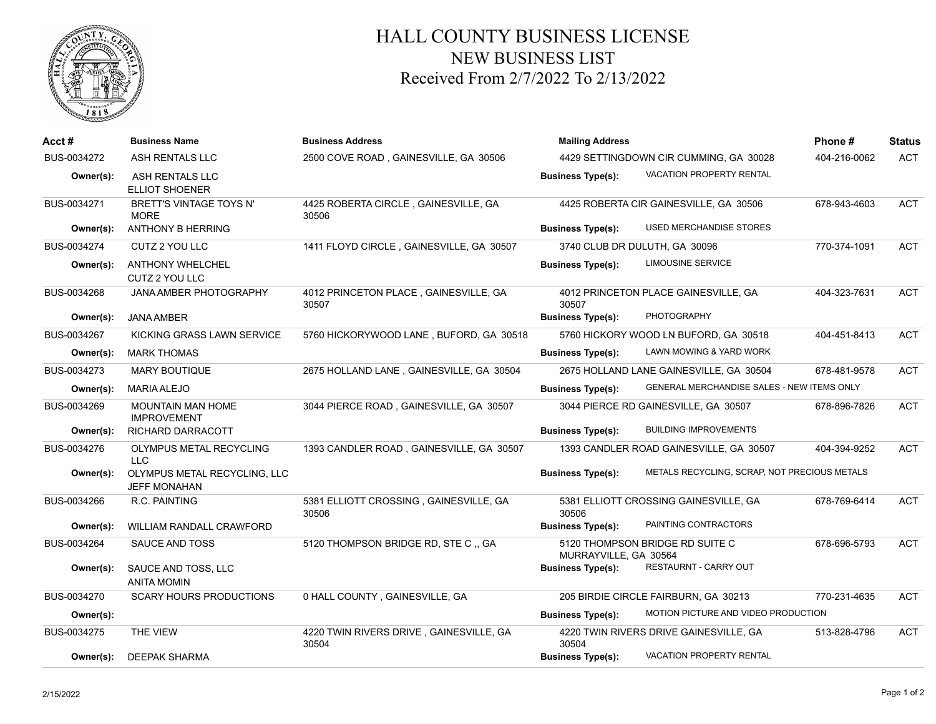

## HALL COUNTY BUSINESS LICENSE NEW BUSINESS LIST Received From 2/7/2022 To 2/13/2022

| Acct#       | <b>Business Name</b>                                | <b>Business Address</b>                          | <b>Mailing Address</b>                                   | Phone#                                       | <b>Status</b> |            |
|-------------|-----------------------------------------------------|--------------------------------------------------|----------------------------------------------------------|----------------------------------------------|---------------|------------|
| BUS-0034272 | ASH RENTALS LLC                                     | 2500 COVE ROAD, GAINESVILLE, GA 30506            | 4429 SETTINGDOWN CIR CUMMING, GA 30028                   | 404-216-0062                                 | <b>ACT</b>    |            |
| Owner(s):   | ASH RENTALS LLC<br><b>ELLIOT SHOENER</b>            |                                                  | <b>Business Type(s):</b>                                 | VACATION PROPERTY RENTAL                     |               |            |
| BUS-0034271 | BRETT'S VINTAGE TOYS N'<br><b>MORE</b>              | 4425 ROBERTA CIRCLE, GAINESVILLE, GA<br>30506    | 4425 ROBERTA CIR GAINESVILLE, GA 30506                   |                                              | 678-943-4603  | <b>ACT</b> |
| Owner(s):   | ANTHONY B HERRING                                   |                                                  | <b>Business Type(s):</b>                                 | USED MERCHANDISE STORES                      |               |            |
| BUS-0034274 | CUTZ 2 YOU LLC                                      | 1411 FLOYD CIRCLE, GAINESVILLE, GA 30507         | 3740 CLUB DR DULUTH, GA 30096                            |                                              | 770-374-1091  | <b>ACT</b> |
| Owner(s):   | <b>ANTHONY WHELCHEL</b><br>CUTZ 2 YOU LLC           |                                                  | <b>Business Type(s):</b>                                 | <b>LIMOUSINE SERVICE</b>                     |               |            |
| BUS-0034268 | <b>JANA AMBER PHOTOGRAPHY</b>                       | 4012 PRINCETON PLACE, GAINESVILLE, GA<br>30507   | 30507                                                    | 4012 PRINCETON PLACE GAINESVILLE, GA         | 404-323-7631  | <b>ACT</b> |
| Owner(s):   | <b>JANA AMBER</b>                                   |                                                  | <b>Business Type(s):</b>                                 | PHOTOGRAPHY                                  |               |            |
| BUS-0034267 | KICKING GRASS LAWN SERVICE                          | 5760 HICKORYWOOD LANE, BUFORD, GA 30518          |                                                          | 5760 HICKORY WOOD LN BUFORD, GA 30518        | 404-451-8413  | ACT        |
| Owner(s):   | <b>MARK THOMAS</b>                                  |                                                  | <b>Business Type(s):</b>                                 | LAWN MOWING & YARD WORK                      |               |            |
| BUS-0034273 | <b>MARY BOUTIQUE</b>                                | 2675 HOLLAND LANE, GAINESVILLE, GA 30504         |                                                          | 2675 HOLLAND LANE GAINESVILLE, GA 30504      | 678-481-9578  | <b>ACT</b> |
| Owner(s):   | <b>MARIA ALEJO</b>                                  |                                                  | <b>Business Type(s):</b>                                 | GENERAL MERCHANDISE SALES - NEW ITEMS ONLY   |               |            |
| BUS-0034269 | <b>MOUNTAIN MAN HOME</b><br><b>IMPROVEMENT</b>      | 3044 PIERCE ROAD, GAINESVILLE, GA 30507          |                                                          | 3044 PIERCE RD GAINESVILLE, GA 30507         | 678-896-7826  | <b>ACT</b> |
| Owner(s):   | RICHARD DARRACOTT                                   |                                                  | <b>Business Type(s):</b>                                 | <b>BUILDING IMPROVEMENTS</b>                 |               |            |
| BUS-0034276 | OLYMPUS METAL RECYCLING<br><b>LLC</b>               | 1393 CANDLER ROAD, GAINESVILLE, GA 30507         |                                                          | 1393 CANDLER ROAD GAINESVILLE, GA 30507      | 404-394-9252  | <b>ACT</b> |
| Owner(s):   | OLYMPUS METAL RECYCLING, LLC<br><b>JEFF MONAHAN</b> |                                                  | <b>Business Type(s):</b>                                 | METALS RECYCLING, SCRAP, NOT PRECIOUS METALS |               |            |
| BUS-0034266 | R.C. PAINTING                                       | 5381 ELLIOTT CROSSING, GAINESVILLE, GA<br>30506  | 30506                                                    | 5381 ELLIOTT CROSSING GAINESVILLE, GA        | 678-769-6414  | <b>ACT</b> |
| Owner(s):   | <b>WILLIAM RANDALL CRAWFORD</b>                     |                                                  | <b>Business Type(s):</b>                                 | PAINTING CONTRACTORS                         |               |            |
| BUS-0034264 | SAUCE AND TOSS                                      | 5120 THOMPSON BRIDGE RD, STE C, GA               | 5120 THOMPSON BRIDGE RD SUITE C<br>MURRAYVILLE, GA 30564 |                                              | 678-696-5793  | ACT        |
| Owner(s):   | SAUCE AND TOSS, LLC<br><b>ANITA MOMIN</b>           |                                                  | <b>Business Type(s):</b>                                 | RESTAURNT - CARRY OUT                        |               |            |
| BUS-0034270 | <b>SCARY HOURS PRODUCTIONS</b>                      | 0 HALL COUNTY, GAINESVILLE, GA                   |                                                          | 205 BIRDIE CIRCLE FAIRBURN, GA 30213         | 770-231-4635  | <b>ACT</b> |
| Owner(s):   |                                                     |                                                  | <b>Business Type(s):</b>                                 | MOTION PICTURE AND VIDEO PRODUCTION          |               |            |
| BUS-0034275 | THE VIEW                                            | 4220 TWIN RIVERS DRIVE, GAINESVILLE, GA<br>30504 | 30504                                                    | 4220 TWIN RIVERS DRIVE GAINESVILLE, GA       | 513-828-4796  | <b>ACT</b> |
| Owner(s):   | <b>DEEPAK SHARMA</b>                                |                                                  | <b>Business Type(s):</b>                                 | <b>VACATION PROPERTY RENTAL</b>              |               |            |